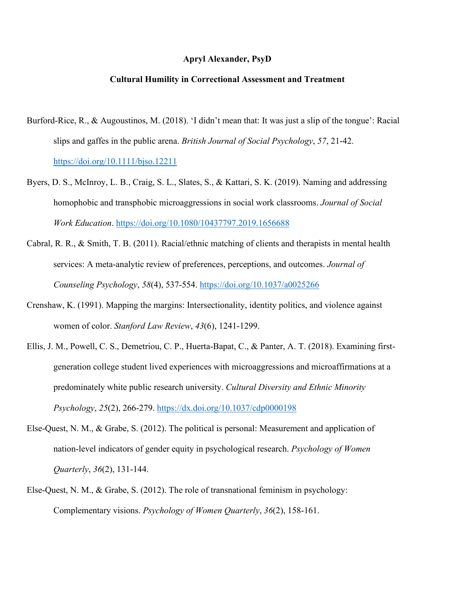## **Apryl Alexander, PsyD**

## **Cultural Humility in Correctional Assessment and Treatment**

- Burford-Rice, R., & Augoustinos, M. (2018). 'I didn't mean that: It was just a slip of the tongue': Racial slips and gaffes in the public arena. *British Journal of Social Psychology*, *57*, 21-42. <https://doi.org/10.1111/bjso.12211>
- Byers, D. S., McInroy, L. B., Craig, S. L., Slates, S., & Kattari, S. K. (2019). Naming and addressing homophobic and transphobic microaggressions in social work classrooms. *Journal of Social Work Education*.<https://doi.org/10.1080/10437797.2019.1656688>
- Cabral, R. R., & Smith, T. B. (2011). Racial/ethnic matching of clients and therapists in mental health services: A meta-analytic review of preferences, perceptions, and outcomes. *Journal of Counseling Psychology*, *58*(4), 537-554.<https://doi.org/10.1037/a0025266>
- Crenshaw, K. (1991). Mapping the margins: Intersectionality, identity politics, and violence against women of color. *Stanford Law Review*, *43*(6), 1241-1299.
- Ellis, J. M., Powell, C. S., Demetriou, C. P., Huerta-Bapat, C., & Panter, A. T. (2018). Examining firstgeneration college student lived experiences with microaggressions and microaffirmations at a predominately white public research university. *Cultural Diversity and Ethnic Minority Psychology*, *25*(2), 266-279.<https://dx.doi.org/10.1037/cdp0000198>
- Else-Quest, N. M., & Grabe, S. (2012). The political is personal: Measurement and application of nation-level indicators of gender equity in psychological research. *Psychology of Women Quarterly*, *36*(2), 131-144.
- Else-Quest, N. M., & Grabe, S. (2012). The role of transnational feminism in psychology: Complementary visions. *Psychology of Women Quarterly*, *36*(2), 158-161.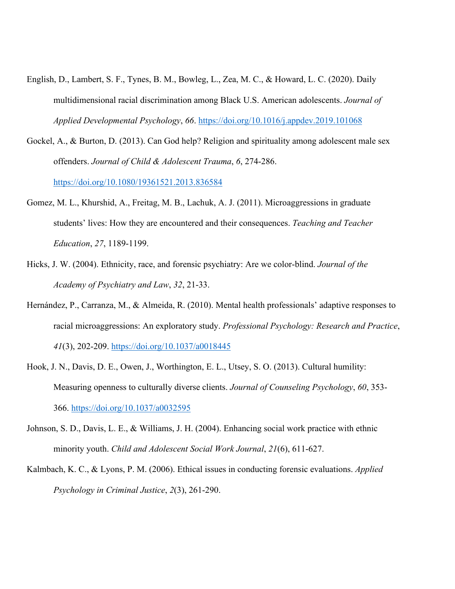- English, D., Lambert, S. F., Tynes, B. M., Bowleg, L., Zea, M. C., & Howard, L. C. (2020). Daily multidimensional racial discrimination among Black U.S. American adolescents. *Journal of Applied Developmental Psychology*, *66*.<https://doi.org/10.1016/j.appdev.2019.101068>
- Gockel, A., & Burton, D. (2013). Can God help? Religion and spirituality among adolescent male sex offenders. *Journal of Child & Adolescent Trauma*, *6*, 274-286.

<https://doi.org/10.1080/19361521.2013.836584>

- Gomez, M. L., Khurshid, A., Freitag, M. B., Lachuk, A. J. (2011). Microaggressions in graduate students' lives: How they are encountered and their consequences. *Teaching and Teacher Education*, *27*, 1189-1199.
- Hicks, J. W. (2004). Ethnicity, race, and forensic psychiatry: Are we color-blind. *Journal of the Academy of Psychiatry and Law*, *32*, 21-33.
- Hernández, P., Carranza, M., & Almeida, R. (2010). Mental health professionals' adaptive responses to racial microaggressions: An exploratory study. *Professional Psychology: Research and Practice*, *41*(3), 202-209.<https://doi.org/10.1037/a0018445>
- Hook, J. N., Davis, D. E., Owen, J., Worthington, E. L., Utsey, S. O. (2013). Cultural humility: Measuring openness to culturally diverse clients. *Journal of Counseling Psychology*, *60*, 353- 366.<https://doi.org/10.1037/a0032595>
- Johnson, S. D., Davis, L. E., & Williams, J. H. (2004). Enhancing social work practice with ethnic minority youth. *Child and Adolescent Social Work Journal*, *21*(6), 611-627.
- Kalmbach, K. C., & Lyons, P. M. (2006). Ethical issues in conducting forensic evaluations. *Applied Psychology in Criminal Justice*, *2*(3), 261-290.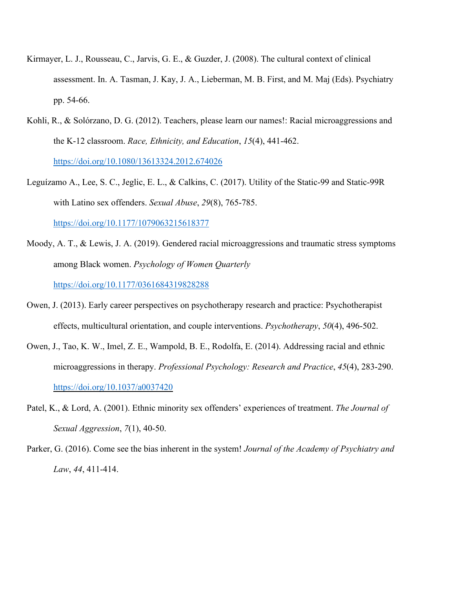- Kirmayer, L. J., Rousseau, C., Jarvis, G. E., & Guzder, J. (2008). The cultural context of clinical assessment. In. A. Tasman, J. Kay, J. A., Lieberman, M. B. First, and M. Maj (Eds). Psychiatry pp. 54-66.
- Kohli, R., & Solórzano, D. G. (2012). Teachers, please learn our names!: Racial microaggressions and the K-12 classroom. *Race, Ethnicity, and Education*, *15*(4), 441-462. <https://doi.org/10.1080/13613324.2012.674026>
- Leguízamo A., Lee, S. C., Jeglic, E. L., & Calkins, C. (2017). Utility of the Static-99 and Static-99R with Latino sex offenders. *Sexual Abuse*, *29*(8), 765-785. <https://doi.org/10.1177/1079063215618377>
- Moody, A. T., & Lewis, J. A. (2019). Gendered racial microaggressions and traumatic stress symptoms among Black women. *Psychology of Women Quarterly* <https://doi.org/10.1177/0361684319828288>
- Owen, J. (2013). Early career perspectives on psychotherapy research and practice: Psychotherapist effects, multicultural orientation, and couple interventions. *Psychotherapy*, *50*(4), 496-502.
- Owen, J., Tao, K. W., Imel, Z. E., Wampold, B. E., Rodolfa, E. (2014). Addressing racial and ethnic microaggressions in therapy. *Professional Psychology: Research and Practice*, *45*(4), 283-290. <https://doi.org/10.1037/a0037420>
- Patel, K., & Lord, A. (2001). Ethnic minority sex offenders' experiences of treatment. *The Journal of Sexual Aggression*, *7*(1), 40-50.
- Parker, G. (2016). Come see the bias inherent in the system! *Journal of the Academy of Psychiatry and Law*, *44*, 411-414.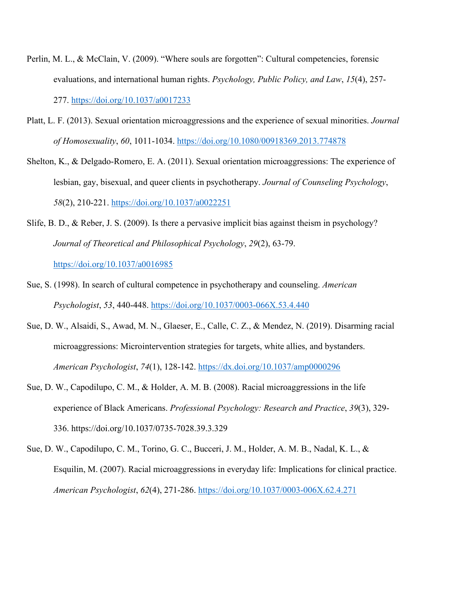- Perlin, M. L., & McClain, V. (2009). "Where souls are forgotten": Cultural competencies, forensic evaluations, and international human rights. *Psychology, Public Policy, and Law*, *15*(4), 257- 277. <https://doi.org/10.1037/a0017233>
- Platt, L. F. (2013). Sexual orientation microaggressions and the experience of sexual minorities. *Journal of Homosexuality*, *60*, 1011-1034.<https://doi.org/10.1080/00918369.2013.774878>
- Shelton, K., & Delgado-Romero, E. A. (2011). Sexual orientation microaggressions: The experience of lesbian, gay, bisexual, and queer clients in psychotherapy. *Journal of Counseling Psychology*, *58*(2), 210-221.<https://doi.org/10.1037/a0022251>
- Slife, B. D., & Reber, J. S. (2009). Is there a pervasive implicit bias against theism in psychology? *Journal of Theoretical and Philosophical Psychology*, *29*(2), 63-79. <https://doi.org/10.1037/a0016985>
- Sue, S. (1998). In search of cultural competence in psychotherapy and counseling. *American Psychologist*, *53*, 440-448.<https://doi.org/10.1037/0003-066X.53.4.440>
- Sue, D. W., Alsaidi, S., Awad, M. N., Glaeser, E., Calle, C. Z., & Mendez, N. (2019). Disarming racial microaggressions: Microintervention strategies for targets, white allies, and bystanders. *American Psychologist*, *74*(1), 128-142.<https://dx.doi.org/10.1037/amp0000296>
- Sue, D. W., Capodilupo, C. M., & Holder, A. M. B. (2008). Racial microaggressions in the life experience of Black Americans. *Professional Psychology: Research and Practice*, *39*(3), 329- 336. https://doi.org/10.1037/0735-7028.39.3.329
- Sue, D. W., Capodilupo, C. M., Torino, G. C., Bucceri, J. M., Holder, A. M. B., Nadal, K. L., & Esquilin, M. (2007). Racial microaggressions in everyday life: Implications for clinical practice. *American Psychologist*, *62*(4), 271-286.<https://doi.org/10.1037/0003-006X.62.4.271>